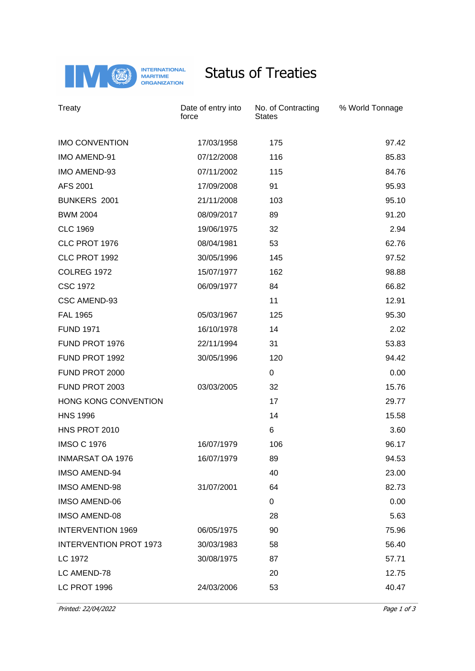

## Status of Treaties

| Treaty                        | Date of entry into<br>force | No. of Contracting<br><b>States</b> | % World Tonnage |
|-------------------------------|-----------------------------|-------------------------------------|-----------------|
| <b>IMO CONVENTION</b>         | 17/03/1958                  | 175                                 | 97.42           |
| <b>IMO AMEND-91</b>           | 07/12/2008                  | 116                                 | 85.83           |
| IMO AMEND-93                  | 07/11/2002                  | 115                                 | 84.76           |
| AFS 2001                      | 17/09/2008                  | 91                                  | 95.93           |
| <b>BUNKERS 2001</b>           | 21/11/2008                  | 103                                 | 95.10           |
| <b>BWM 2004</b>               | 08/09/2017                  | 89                                  | 91.20           |
| <b>CLC 1969</b>               | 19/06/1975                  | 32                                  | 2.94            |
| CLC PROT 1976                 | 08/04/1981                  | 53                                  | 62.76           |
| CLC PROT 1992                 | 30/05/1996                  | 145                                 | 97.52           |
| <b>COLREG 1972</b>            | 15/07/1977                  | 162                                 | 98.88           |
| <b>CSC 1972</b>               | 06/09/1977                  | 84                                  | 66.82           |
| CSC AMEND-93                  |                             | 11                                  | 12.91           |
| <b>FAL 1965</b>               | 05/03/1967                  | 125                                 | 95.30           |
| <b>FUND 1971</b>              | 16/10/1978                  | 14                                  | 2.02            |
| FUND PROT 1976                | 22/11/1994                  | 31                                  | 53.83           |
| FUND PROT 1992                | 30/05/1996                  | 120                                 | 94.42           |
| FUND PROT 2000                |                             | 0                                   | 0.00            |
| FUND PROT 2003                | 03/03/2005                  | 32                                  | 15.76           |
| HONG KONG CONVENTION          |                             | 17                                  | 29.77           |
| <b>HNS 1996</b>               |                             | 14                                  | 15.58           |
| HNS PROT 2010                 |                             | 6                                   | 3.60            |
| <b>IMSO C 1976</b>            | 16/07/1979                  | 106                                 | 96.17           |
| <b>INMARSAT OA 1976</b>       | 16/07/1979                  | 89                                  | 94.53           |
| <b>IMSO AMEND-94</b>          |                             | 40                                  | 23.00           |
| <b>IMSO AMEND-98</b>          | 31/07/2001                  | 64                                  | 82.73           |
| <b>IMSO AMEND-06</b>          |                             | 0                                   | 0.00            |
| <b>IMSO AMEND-08</b>          |                             | 28                                  | 5.63            |
| <b>INTERVENTION 1969</b>      | 06/05/1975                  | 90                                  | 75.96           |
| <b>INTERVENTION PROT 1973</b> | 30/03/1983                  | 58                                  | 56.40           |
| LC 1972                       | 30/08/1975                  | 87                                  | 57.71           |
| LC AMEND-78                   |                             | 20                                  | 12.75           |
| LC PROT 1996                  | 24/03/2006                  | 53                                  | 40.47           |

Printed: 22/04/2022 Printed: 22/04/2022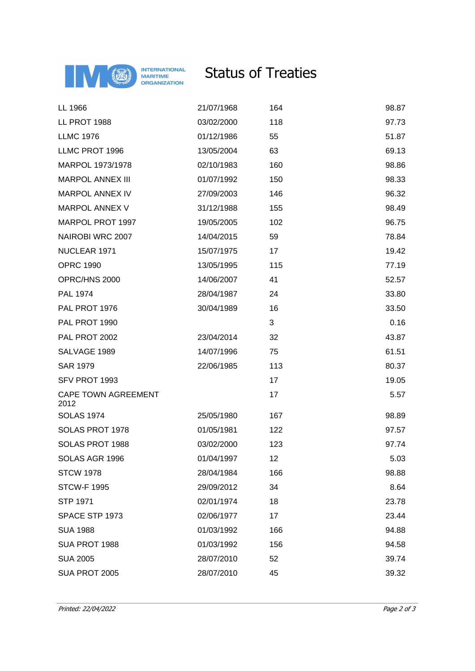

## Status of Treaties

| LL 1966                            | 21/07/1968 | 164 | 98.87 |
|------------------------------------|------------|-----|-------|
| LL PROT 1988                       | 03/02/2000 | 118 | 97.73 |
| <b>LLMC 1976</b>                   | 01/12/1986 | 55  | 51.87 |
| LLMC PROT 1996                     | 13/05/2004 | 63  | 69.13 |
| MARPOL 1973/1978                   | 02/10/1983 | 160 | 98.86 |
| <b>MARPOL ANNEX III</b>            | 01/07/1992 | 150 | 98.33 |
| MARPOL ANNEX IV                    | 27/09/2003 | 146 | 96.32 |
| <b>MARPOL ANNEX V</b>              | 31/12/1988 | 155 | 98.49 |
| MARPOL PROT 1997                   | 19/05/2005 | 102 | 96.75 |
| NAIROBI WRC 2007                   | 14/04/2015 | 59  | 78.84 |
| NUCLEAR 1971                       | 15/07/1975 | 17  | 19.42 |
| <b>OPRC 1990</b>                   | 13/05/1995 | 115 | 77.19 |
| OPRC/HNS 2000                      | 14/06/2007 | 41  | 52.57 |
| PAL 1974                           | 28/04/1987 | 24  | 33.80 |
| PAL PROT 1976                      | 30/04/1989 | 16  | 33.50 |
| PAL PROT 1990                      |            | 3   | 0.16  |
| PAL PROT 2002                      | 23/04/2014 | 32  | 43.87 |
| SALVAGE 1989                       | 14/07/1996 | 75  | 61.51 |
| <b>SAR 1979</b>                    | 22/06/1985 | 113 | 80.37 |
| SFV PROT 1993                      |            | 17  | 19.05 |
| <b>CAPE TOWN AGREEMENT</b><br>2012 |            | 17  | 5.57  |
| <b>SOLAS 1974</b>                  | 25/05/1980 | 167 | 98.89 |
| SOLAS PROT 1978                    | 01/05/1981 | 122 | 97.57 |
| SOLAS PROT 1988                    | 03/02/2000 | 123 | 97.74 |
| SOLAS AGR 1996                     | 01/04/1997 | 12  | 5.03  |
| <b>STCW 1978</b>                   | 28/04/1984 | 166 | 98.88 |
| <b>STCW-F 1995</b>                 | 29/09/2012 | 34  | 8.64  |
| <b>STP 1971</b>                    | 02/01/1974 | 18  | 23.78 |
| SPACE STP 1973                     | 02/06/1977 | 17  | 23.44 |
| <b>SUA 1988</b>                    | 01/03/1992 | 166 | 94.88 |
| SUA PROT 1988                      | 01/03/1992 | 156 | 94.58 |
| <b>SUA 2005</b>                    | 28/07/2010 | 52  | 39.74 |
| SUA PROT 2005                      | 28/07/2010 | 45  | 39.32 |